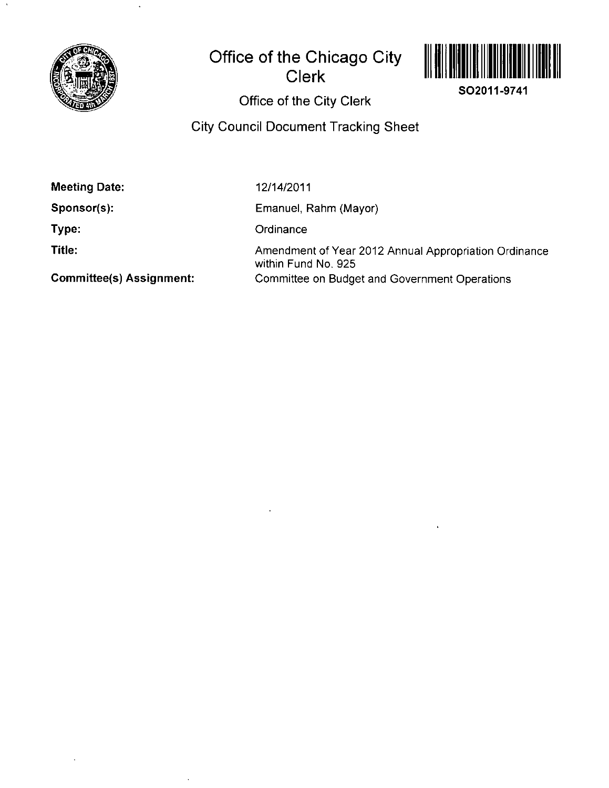

# **Office of the Chicago City Clerk**



**SO2011-9741** 

**Office of the City Clerk** 

## **City Council Document Tracking Sheet**

**Meeting Date:** 

**Sponsor(s):** 

**Type:** 

**Title:** 

12/14/2011

Emanuel, Rahm (Mayor)

**Ordinance** 

Amendment of Year 2012 Annual Appropriation Ordinance within Fund No. 925 Committee on Budget and Government Operations

**Committee(s) Assignment:**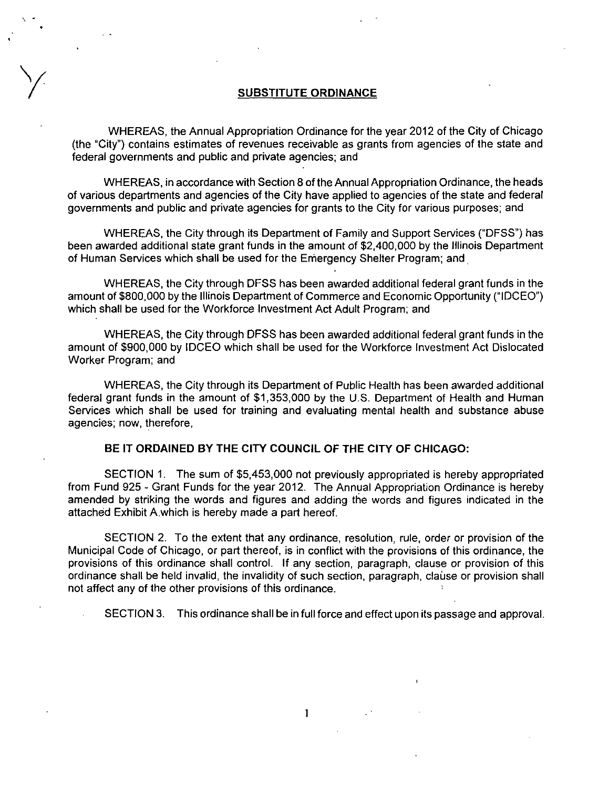#### **SUBSTITUTE ORDINANCE**

WHEREAS, the Annual Appropriation Ordinance for the year 2012 of the City of Chicago (the "City") contains estimates of revenues receivable as grants from agencies of the state and federal governments and public and private agencies; and

WHEREAS, in accordance with Section 8 of the Annual Appropriation Ordinance, the heads of various departments and agencies of the City have applied to agencies of the state and federal governments and public and private agencies for grants to the City for various purposes; and

WHEREAS, the City through its Department of Family and Support Services ("DFSS") has been awarded additional state grant funds in the amount of \$2,400,000 by the Illinois Department of Human Services which shall be used for the Emergency Shelter Program; and

WHEREAS, the City through DFSS has been awarded addifional federal grant funds in the amount of \$800,000 by the Illinois Department of Commerce and Economic Opportunity ("IDCEO") which shall be used for the Workforce Investment Act Adult Program; and

WHEREAS, the City through DFSS has been awarded addifional federal grant funds in the amount of \$900,000 by IDCEO which shall be used for the Workforce Investment Act Dislocated Worker Program; and

WHEREAS, the City through its Department of Public Health has been awarded addifional federal grant funds in the amount of \$1,353,000 by the U.S. Department of Health and Human Services which shall be used for training and evaluafing mental health and substance abuse agencies; now, therefore.

### **BE IT ORDAINED BY THE CITY COUNCIL OF THE CITY OF CHICAGO:**

SECTION 1. The sum of \$5,453,000 not previously appropriated is hereby appropriated from Fund 925 - Grant Funds for the year 2012. The Annual Appropriafion Ordinance is hereby amended by striking the words and figures and adding the words and figures indicated in the attached Exhibit A which is hereby made a part hereof

SECTION 2. To the extent that any ordinance, resolution, rule, order or provision of the Municipal Code of Chicago, or part thereof, is in confiict with the provisions of this ordinance, the provisions of this ordinance shall control. If any section, paragraph, clause or provision of this ordinance shall be held invalid, the invalidity of such section, paragraph, clause or provision shall not affect any of the other provisions of this ordinance.

 $\mathbf{1}$ 

SECTION 3. This ordinance shall be in full force and effect upon its passage and approval.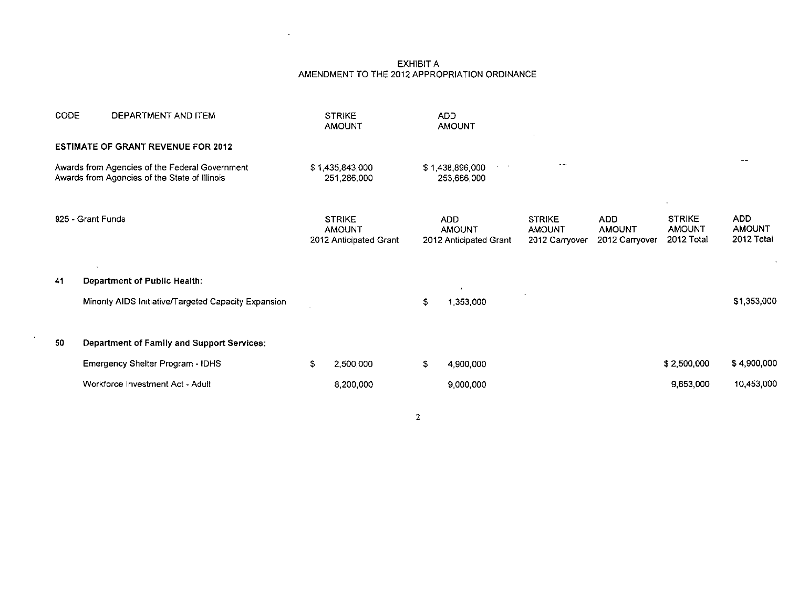#### EXHIBIT A AMENDMENT TO THE 2012 APPROPRIATION ORDINANCE

 $\Delta \sim 10^{-11}$ 

| CODE                                                                                            | DEPARTMENT AND ITEM                                  |                                | <b>STRIKE</b><br><b>AMOUNT</b>                           |                                                   | ADD<br><b>AMOUNT</b>                                  |                                                  |                                        |                                              |                                           |
|-------------------------------------------------------------------------------------------------|------------------------------------------------------|--------------------------------|----------------------------------------------------------|---------------------------------------------------|-------------------------------------------------------|--------------------------------------------------|----------------------------------------|----------------------------------------------|-------------------------------------------|
|                                                                                                 | <b>ESTIMATE OF GRANT REVENUE FOR 2012</b>            |                                |                                                          |                                                   |                                                       |                                                  |                                        |                                              |                                           |
| Awards from Agencies of the Federal Government<br>Awards from Agencies of the State of Illinois |                                                      | \$1,435,843,000<br>251,286,000 |                                                          | $\sim$ 10 $\mu$<br>\$1,438,896,000<br>253,686,000 |                                                       | $\sim$ $\sim$                                    |                                        |                                              | --                                        |
|                                                                                                 | 925 - Grant Funds                                    |                                | <b>STRIKE</b><br><b>AMOUNT</b><br>2012 Anticipated Grant |                                                   | <b>ADD</b><br><b>AMOUNT</b><br>2012 Anticipated Grant | <b>STRIKE</b><br><b>AMOUNT</b><br>2012 Carryover | ADD<br><b>AMOUNT</b><br>2012 Carryover | <b>STRIKE</b><br><b>AMOUNT</b><br>2012 Total | <b>ADD</b><br><b>AMOUNT</b><br>2012 Total |
| 41                                                                                              | <b>Department of Public Health:</b>                  |                                |                                                          |                                                   | $\mathbf{r}$                                          |                                                  |                                        |                                              |                                           |
|                                                                                                 | Minority AIDS Initiative/Targeted Capacity Expansion |                                |                                                          | $\mathfrak{S}$                                    | 1.353,000                                             |                                                  |                                        |                                              | \$1,353,000                               |
| 50                                                                                              | <b>Department of Family and Support Services:</b>    |                                |                                                          |                                                   |                                                       |                                                  |                                        |                                              |                                           |
|                                                                                                 | Emergency Shelter Program - IDHS                     | S.                             | 2,500,000                                                | s.                                                | 4,900,000                                             |                                                  |                                        | \$2,500,000                                  | \$4,900,000                               |
|                                                                                                 | Workforce Investment Act - Adult                     |                                | 8,200,000                                                |                                                   | 9,000,000                                             |                                                  |                                        | 9,653,000                                    | 10,453,000                                |
|                                                                                                 |                                                      |                                |                                                          |                                                   |                                                       |                                                  |                                        |                                              |                                           |

 $\overline{2}$